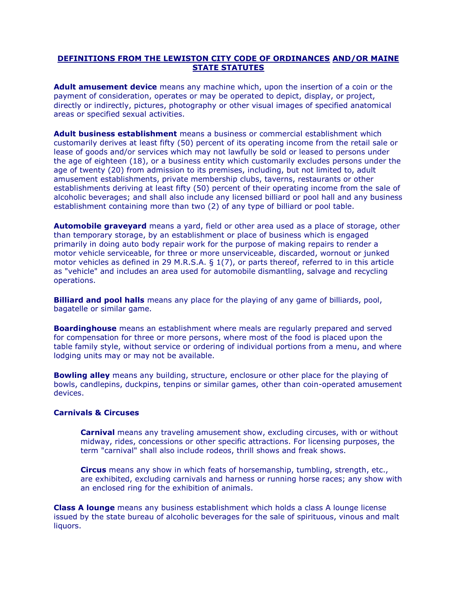## **DEFINITIONS FROM THE LEWISTON CITY CODE OF ORDINANCES AND/OR MAINE STATE STATUTES**

**Adult amusement device** means any machine which, upon the insertion of a coin or the payment of consideration, operates or may be operated to depict, display, or project, directly or indirectly, pictures, photography or other visual images of specified anatomical areas or specified sexual activities.

**Adult business establishment** means a business or commercial establishment which customarily derives at least fifty (50) percent of its operating income from the retail sale or lease of goods and/or services which may not lawfully be sold or leased to persons under the age of eighteen (18), or a business entity which customarily excludes persons under the age of twenty (20) from admission to its premises, including, but not limited to, adult amusement establishments, private membership clubs, taverns, restaurants or other establishments deriving at least fifty (50) percent of their operating income from the sale of alcoholic beverages; and shall also include any licensed billiard or pool hall and any business establishment containing more than two (2) of any type of billiard or pool table.

**Automobile graveyard** means a yard, field or other area used as a place of storage, other than temporary storage, by an establishment or place of business which is engaged primarily in doing auto body repair work for the purpose of making repairs to render a motor vehicle serviceable, for three or more unserviceable, discarded, wornout or junked motor vehicles as defined in 29 M.R.S.A. § 1(7), or parts thereof, referred to in this article as "vehicle" and includes an area used for automobile dismantling, salvage and recycling operations.

**Billiard and pool halls** means any place for the playing of any game of billiards, pool, bagatelle or similar game.

**Boardinghouse** means an establishment where meals are regularly prepared and served for compensation for three or more persons, where most of the food is placed upon the table family style, without service or ordering of individual portions from a menu, and where lodging units may or may not be available.

**Bowling alley** means any building, structure, enclosure or other place for the playing of bowls, candlepins, duckpins, tenpins or similar games, other than coin-operated amusement devices.

## **Carnivals & Circuses**

**Carnival** means any traveling amusement show, excluding circuses, with or without midway, rides, concessions or other specific attractions. For licensing purposes, the term "carnival" shall also include rodeos, thrill shows and freak shows.

**Circus** means any show in which feats of horsemanship, tumbling, strength, etc., are exhibited, excluding carnivals and harness or running horse races; any show with an enclosed ring for the exhibition of animals.

**Class A lounge** means any business establishment which holds a class A lounge license issued by the state bureau of alcoholic beverages for the sale of spirituous, vinous and malt liquors.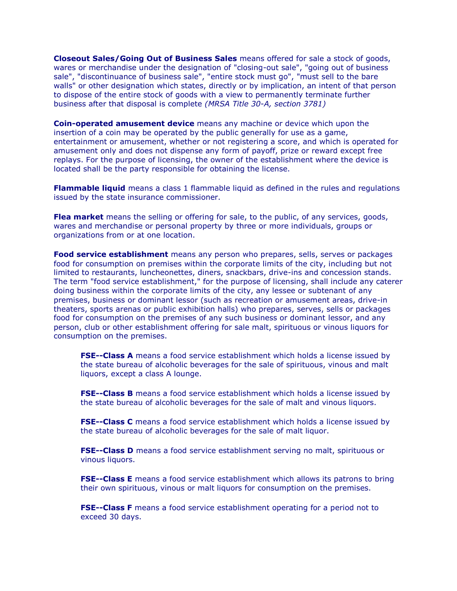**Closeout Sales/Going Out of Business Sales** means offered for sale a stock of goods, wares or merchandise under the designation of "closing-out sale", "going out of business sale", "discontinuance of business sale", "entire stock must go", "must sell to the bare walls" or other designation which states, directly or by implication, an intent of that person to dispose of the entire stock of goods with a view to permanently terminate further business after that disposal is complete *(MRSA Title 30-A, section 3781)*

**Coin-operated amusement device** means any machine or device which upon the insertion of a coin may be operated by the public generally for use as a game, entertainment or amusement, whether or not registering a score, and which is operated for amusement only and does not dispense any form of payoff, prize or reward except free replays. For the purpose of licensing, the owner of the establishment where the device is located shall be the party responsible for obtaining the license.

**Flammable liquid** means a class 1 flammable liquid as defined in the rules and regulations issued by the state insurance commissioner.

**Flea market** means the selling or offering for sale, to the public, of any services, goods, wares and merchandise or personal property by three or more individuals, groups or organizations from or at one location.

**Food service establishment** means any person who prepares, sells, serves or packages food for consumption on premises within the corporate limits of the city, including but not limited to restaurants, luncheonettes, diners, snackbars, drive-ins and concession stands. The term "food service establishment," for the purpose of licensing, shall include any caterer doing business within the corporate limits of the city, any lessee or subtenant of any premises, business or dominant lessor (such as recreation or amusement areas, drive-in theaters, sports arenas or public exhibition halls) who prepares, serves, sells or packages food for consumption on the premises of any such business or dominant lessor, and any person, club or other establishment offering for sale malt, spirituous or vinous liquors for consumption on the premises.

**FSE--Class A** means a food service establishment which holds a license issued by the state bureau of alcoholic beverages for the sale of spirituous, vinous and malt liquors, except a class A lounge.

**FSE--Class B** means a food service establishment which holds a license issued by the state bureau of alcoholic beverages for the sale of malt and vinous liquors.

**FSE--Class C** means a food service establishment which holds a license issued by the state bureau of alcoholic beverages for the sale of malt liquor.

**FSE--Class D** means a food service establishment serving no malt, spirituous or vinous liquors.

**FSE--Class E** means a food service establishment which allows its patrons to bring their own spirituous, vinous or malt liquors for consumption on the premises.

**FSE--Class F** means a food service establishment operating for a period not to exceed 30 days.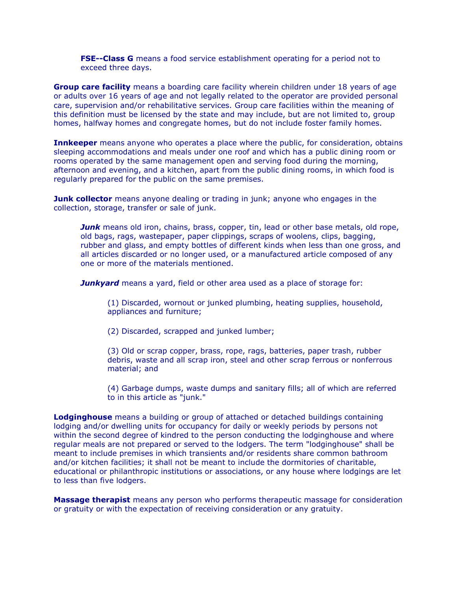**FSE--Class G** means a food service establishment operating for a period not to exceed three days.

**Group care facility** means a boarding care facility wherein children under 18 years of age or adults over 16 years of age and not legally related to the operator are provided personal care, supervision and/or rehabilitative services. Group care facilities within the meaning of this definition must be licensed by the state and may include, but are not limited to, group homes, halfway homes and congregate homes, but do not include foster family homes.

**Innkeeper** means anyone who operates a place where the public, for consideration, obtains sleeping accommodations and meals under one roof and which has a public dining room or rooms operated by the same management open and serving food during the morning, afternoon and evening, and a kitchen, apart from the public dining rooms, in which food is regularly prepared for the public on the same premises.

**Junk collector** means anyone dealing or trading in junk; anyone who engages in the collection, storage, transfer or sale of junk.

*Junk* means old iron, chains, brass, copper, tin, lead or other base metals, old rope, old bags, rags, wastepaper, paper clippings, scraps of woolens, clips, bagging, rubber and glass, and empty bottles of different kinds when less than one gross, and all articles discarded or no longer used, or a manufactured article composed of any one or more of the materials mentioned.

*Junkyard* means a yard, field or other area used as a place of storage for:

(1) Discarded, wornout or junked plumbing, heating supplies, household, appliances and furniture;

(2) Discarded, scrapped and junked lumber;

(3) Old or scrap copper, brass, rope, rags, batteries, paper trash, rubber debris, waste and all scrap iron, steel and other scrap ferrous or nonferrous material; and

(4) Garbage dumps, waste dumps and sanitary fills; all of which are referred to in this article as "junk."

**Lodginghouse** means a building or group of attached or detached buildings containing lodging and/or dwelling units for occupancy for daily or weekly periods by persons not within the second degree of kindred to the person conducting the lodginghouse and where regular meals are not prepared or served to the lodgers. The term "lodginghouse" shall be meant to include premises in which transients and/or residents share common bathroom and/or kitchen facilities; it shall not be meant to include the dormitories of charitable, educational or philanthropic institutions or associations, or any house where lodgings are let to less than five lodgers.

**Massage therapist** means any person who performs therapeutic massage for consideration or gratuity or with the expectation of receiving consideration or any gratuity.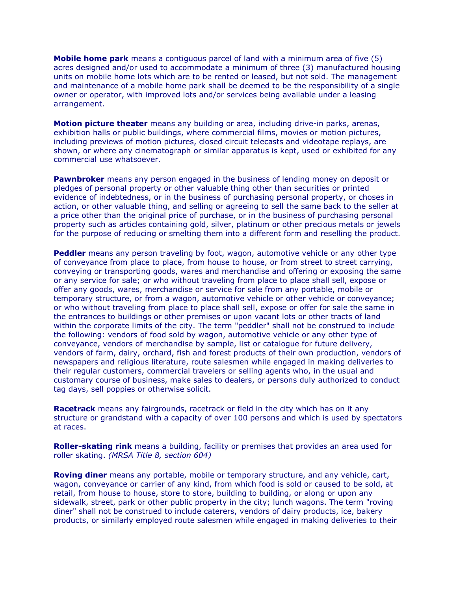**Mobile home park** means a contiguous parcel of land with a minimum area of five (5) acres designed and/or used to accommodate a minimum of three (3) manufactured housing units on mobile home lots which are to be rented or leased, but not sold. The management and maintenance of a mobile home park shall be deemed to be the responsibility of a single owner or operator, with improved lots and/or services being available under a leasing arrangement.

**Motion picture theater** means any building or area, including drive-in parks, arenas, exhibition halls or public buildings, where commercial films, movies or motion pictures, including previews of motion pictures, closed circuit telecasts and videotape replays, are shown, or where any cinematograph or similar apparatus is kept, used or exhibited for any commercial use whatsoever.

**Pawnbroker** means any person engaged in the business of lending money on deposit or pledges of personal property or other valuable thing other than securities or printed evidence of indebtedness, or in the business of purchasing personal property, or choses in action, or other valuable thing, and selling or agreeing to sell the same back to the seller at a price other than the original price of purchase, or in the business of purchasing personal property such as articles containing gold, silver, platinum or other precious metals or jewels for the purpose of reducing or smelting them into a different form and reselling the product.

**Peddler** means any person traveling by foot, wagon, automotive vehicle or any other type of conveyance from place to place, from house to house, or from street to street carrying, conveying or transporting goods, wares and merchandise and offering or exposing the same or any service for sale; or who without traveling from place to place shall sell, expose or offer any goods, wares, merchandise or service for sale from any portable, mobile or temporary structure, or from a wagon, automotive vehicle or other vehicle or conveyance; or who without traveling from place to place shall sell, expose or offer for sale the same in the entrances to buildings or other premises or upon vacant lots or other tracts of land within the corporate limits of the city. The term "peddler" shall not be construed to include the following: vendors of food sold by wagon, automotive vehicle or any other type of conveyance, vendors of merchandise by sample, list or catalogue for future delivery, vendors of farm, dairy, orchard, fish and forest products of their own production, vendors of newspapers and religious literature, route salesmen while engaged in making deliveries to their regular customers, commercial travelers or selling agents who, in the usual and customary course of business, make sales to dealers, or persons duly authorized to conduct tag days, sell poppies or otherwise solicit.

**Racetrack** means any fairgrounds, racetrack or field in the city which has on it any structure or grandstand with a capacity of over 100 persons and which is used by spectators at races.

**Roller-skating rink** means a building, facility or premises that provides an area used for roller skating. *(MRSA Title 8, section 604)*

**Roving diner** means any portable, mobile or temporary structure, and any vehicle, cart, wagon, conveyance or carrier of any kind, from which food is sold or caused to be sold, at retail, from house to house, store to store, building to building, or along or upon any sidewalk, street, park or other public property in the city; lunch wagons. The term "roving diner" shall not be construed to include caterers, vendors of dairy products, ice, bakery products, or similarly employed route salesmen while engaged in making deliveries to their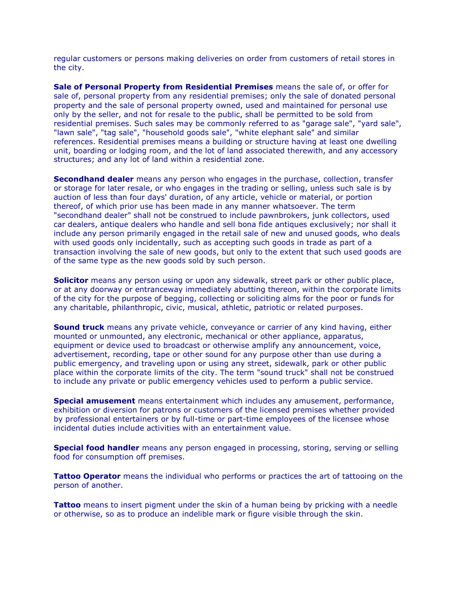regular customers or persons making deliveries on order from customers of retail stores in the city.

**Sale of Personal Property from Residential Premises** means the sale of, or offer for sale of, personal property from any residential premises; only the sale of donated personal property and the sale of personal property owned, used and maintained for personal use only by the seller, and not for resale to the public, shall be permitted to be sold from residential premises. Such sales may be commonly referred to as "garage sale", "yard sale", "lawn sale", "tag sale", "household goods sale", "white elephant sale" and similar references. Residential premises means a building or structure having at least one dwelling unit, boarding or lodging room, and the lot of land associated therewith, and any accessory structures; and any lot of land within a residential zone.

**Secondhand dealer** means any person who engages in the purchase, collection, transfer or storage for later resale, or who engages in the trading or selling, unless such sale is by auction of less than four days' duration, of any article, vehicle or material, or portion thereof, of which prior use has been made in any manner whatsoever. The term "secondhand dealer" shall not be construed to include pawnbrokers, junk collectors, used car dealers, antique dealers who handle and sell bona fide antiques exclusively; nor shall it include any person primarily engaged in the retail sale of new and unused goods, who deals with used goods only incidentally, such as accepting such goods in trade as part of a transaction involving the sale of new goods, but only to the extent that such used goods are of the same type as the new goods sold by such person.

**Solicitor** means any person using or upon any sidewalk, street park or other public place, or at any doorway or entranceway immediately abutting thereon, within the corporate limits of the city for the purpose of begging, collecting or soliciting alms for the poor or funds for any charitable, philanthropic, civic, musical, athletic, patriotic or related purposes.

**Sound truck** means any private vehicle, conveyance or carrier of any kind having, either mounted or unmounted, any electronic, mechanical or other appliance, apparatus, equipment or device used to broadcast or otherwise amplify any announcement, voice, advertisement, recording, tape or other sound for any purpose other than use during a public emergency, and traveling upon or using any street, sidewalk, park or other public place within the corporate limits of the city. The term "sound truck" shall not be construed to include any private or public emergency vehicles used to perform a public service.

**Special amusement** means entertainment which includes any amusement, performance, exhibition or diversion for patrons or customers of the licensed premises whether provided by professional entertainers or by full-time or part-time employees of the licensee whose incidental duties include activities with an entertainment value.

**Special food handler** means any person engaged in processing, storing, serving or selling food for consumption off premises.

**Tattoo Operator** means the individual who performs or practices the art of tattooing on the person of another.

**Tattoo** means to insert pigment under the skin of a human being by pricking with a needle or otherwise, so as to produce an indelible mark or figure visible through the skin.